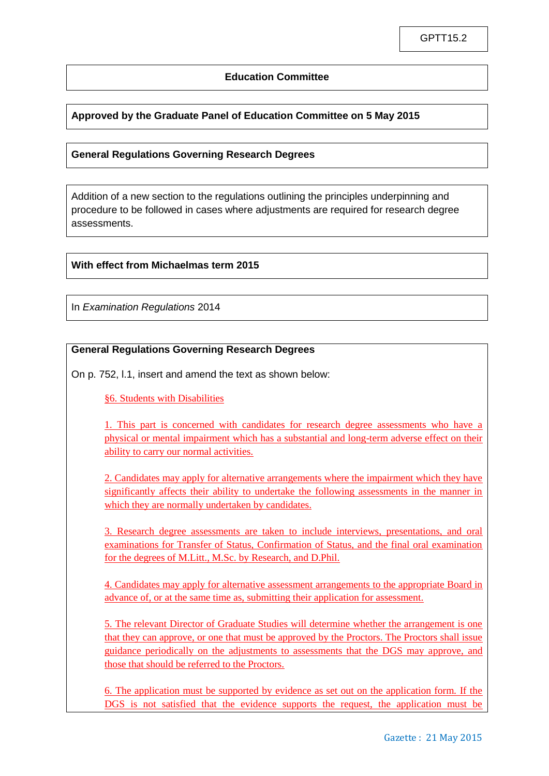### **Education Committee**

# **Approved by the Graduate Panel of Education Committee on 5 May 2015**

### **General Regulations Governing Research Degrees**

Addition of a new section to the regulations outlining the principles underpinning and procedure to be followed in cases where adjustments are required for research degree assessments.

#### **With effect from Michaelmas term 2015**

In *Examination Regulations* 2014

## **General Regulations Governing Research Degrees**

On p. 752, l.1, insert and amend the text as shown below:

§6. Students with Disabilities

1. This part is concerned with candidates for research degree assessments who have a physical or mental impairment which has a substantial and long-term adverse effect on their ability to carry our normal activities.

2. Candidates may apply for alternative arrangements where the impairment which they have significantly affects their ability to undertake the following assessments in the manner in which they are normally undertaken by candidates.

3. Research degree assessments are taken to include interviews, presentations, and oral examinations for Transfer of Status, Confirmation of Status, and the final oral examination for the degrees of M.Litt., M.Sc. by Research, and D.Phil.

4. Candidates may apply for alternative assessment arrangements to the appropriate Board in advance of, or at the same time as, submitting their application for assessment.

5. The relevant Director of Graduate Studies will determine whether the arrangement is one that they can approve, or one that must be approved by the Proctors. The Proctors shall issue guidance periodically on the adjustments to assessments that the DGS may approve, and those that should be referred to the Proctors.

6. The application must be supported by evidence as set out on the application form. If the DGS is not satisfied that the evidence supports the request, the application must be